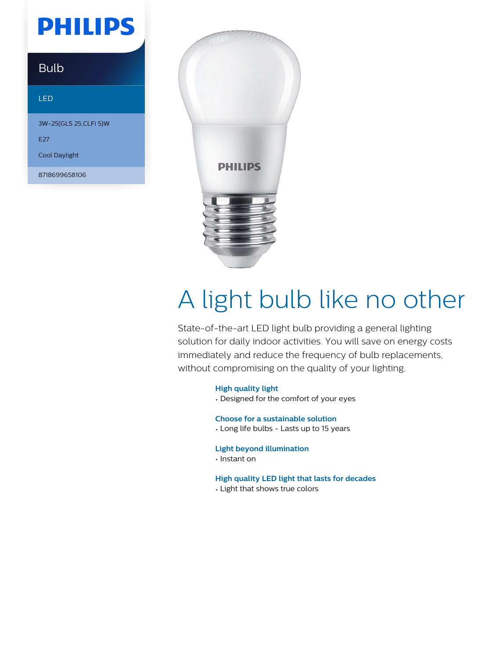# **PHILIPS**

### Bulb

#### LED

3W-25(GLS 25,CLFi 5)W E27 Cool Daylight

8718699658106



# A light bulb like no other

State-of-the-art LED light bulb providing a general lighting solution for daily indoor activities. You will save on energy costs immediately and reduce the frequency of bulb replacements, without compromising on the quality of your lighting.

**High quality light**

• Designed for the comfort of your eyes

**Choose for a sustainable solution**

• Long life bulbs - Lasts up to 15 years

**Light beyond illumination**

• Instant on

#### **High quality LED light that lasts for decades**

• Light that shows true colors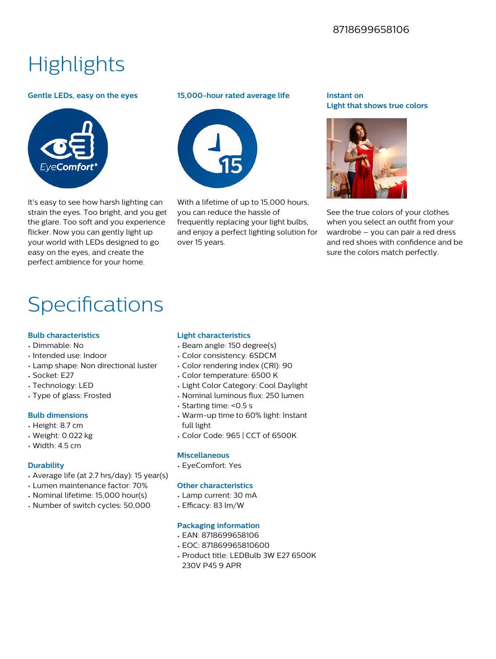### 8718699658106

## **Highlights**

#### **Gentle LEDs, easy on the eyes**



It's easy to see how harsh lighting can strain the eyes. Too bright, and you get the glare. Too soft and you experience flicker. Now you can gently light up your world with LEDs designed to go easy on the eyes, and create the perfect ambience for your home.

#### **15,000-hour rated average life**



With a lifetime of up to 15,000 hours. you can reduce the hassle of frequently replacing your light bulbs, and enjoy a perfect lighting solution for over 15 years.

#### **Instant on Light that shows true colors**



See the true colors of your clothes when you select an outfit from your wardrobe – you can pair a red dress and red shoes with confidence and be sure the colors match perfectly.

## Specifications

#### **Bulb characteristics**

- Dimmable: No
- Intended use: Indoor
- Lamp shape: Non directional luster
- Socket: E27
- Technology: LED
- Type of glass: Frosted

#### **Bulb dimensions**

- Height: 8.7 cm
- Weight: 0.022 kg
- Width: 4.5 cm

#### **Durability**

- Average life (at 2.7 hrs/day): 15 year(s)
- Lumen maintenance factor: 70%
- Nominal lifetime: 15,000 hour(s)
- Number of switch cycles: 50,000

#### **Light characteristics**

- Beam angle: 150 degree(s)
- Color consistency: 6SDCM
- Color rendering index (CRI): 90
- Color temperature: 6500 K
- Light Color Category: Cool Daylight
- Nominal luminous flux: 250 lumen
- Starting time: <0.5 s
- Warm-up time to 60% light: Instant full light
- Color Code: 965 | CCT of 6500K

#### **Miscellaneous**

• EyeComfort: Yes

#### **Other characteristics**

- Lamp current: 30 mA
- $\cdot$  Efficacy: 83 lm/W

#### **Packaging information**

- EAN: 8718699658106
- EOC: 871869965810600
- Product title: LEDBulb 3W E27 6500K 230V P45 9 APR